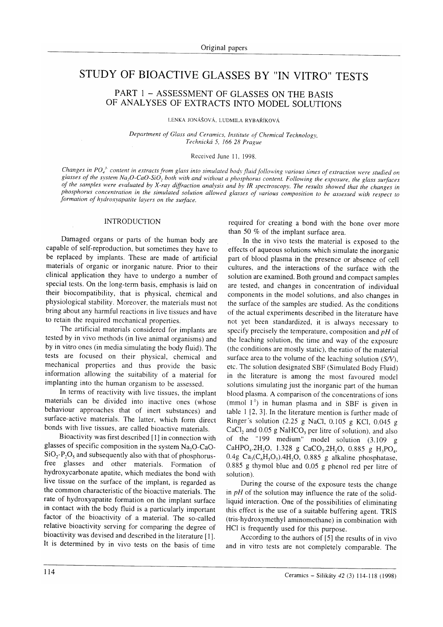# STUDY OF BIOACTIVE GLASSES BY ''IN VITRO'' TESTS

## PART 1 - ASSESSMENT OF GLASSES ON THE BASIS OF ANALYSES OF EXTRACTS INTO MODEL SOLUTIONS

LENKA JONÁŠOVÁ, LUDMILA RYBAŘÍKOVÁ

Department of Glass and Ceramics, Institute of Chemical Technology, Technická 5, ló6 28 Prague

### Received June 11, 1998.

Changes in  $PO_4^3$  content in extracts from glass into simulated body fluid following various times of extraction were studied on glasses of the system Na<sub>r</sub>O-CaO-SiO, both with and without a phosphorus content. Following the exposure, the glass surfaces of the samples were evaluated by X-ray diffraction analysis and by IR spectroscopy. The results showed that the changes in phosphorus concentration in the simulated solution allowed glasses of various composition to be assessed with respect to formation of hydroxyapatite layers on the surface.

#### INTRODUCTION

Damaged organs or parts of the human body are capable of self-reproduction, but sometimes they have to be replaced by implants. These are made of artificial materials of organic or inorganic nature. Prior to their clinical application they have to undergo a number of special tests. On the long-term basis, emphasis is laid on their biocompatibility, that is physical, chemical and physiological stability. Moreover, the materials must not bring about any harmful reactions in live tissues and have to retain the required mechanical properties.

The artificial materials considered for implants are tested by in vivo methods (in live animal organisms) and by in vitro ones (in media simulating the body fluid). The tests are fbcused on their physical, chemical and mechanical properties and thus provide the basic information allowing the suitability of a material for implanting into the human organism to be assessed.

In terms of reactivity with live tissues, the implant materials can be divided into inactive ones (whose behaviour approaches that of inert substances) and surface-active materials. The latter, which form direct bonds with live tissues, are called bioactive materials.

Bioactivity was first described [1] in connection with glasses of specific composition in the system  $Na<sub>2</sub>O-CaO SiO<sub>2</sub>-P<sub>2</sub>O<sub>5</sub>$  and subsequently also with that of phosphorusfree glasses and other materials. Formation of hydroxycarbonate apatite, which mediates the bond with live tissue on the surface of the implant, is regarded as the common characteristic of the bioactive materials. The rate of hydroxyapatite formation on the implant surface in contact with the body fluid is a particularly important factor of the bioactivity of a material. The so-called relative bioactivity serving for comparing the degree of bioactivity was devised and described in the literature [1]. It is determined by in vivo tests on the basis of time

required for creating a bond with the bone over more than 50  $%$  of the implant surface area.

In the in vivo tests the material is exposed to the effects of aqueous solutions which simulate the inorganic part of blood plasma in the presence or absence of cell cultures, and the interactions of the surface with the solution are examined. Both ground and compact samples are tested, and changes in concentration of individual components in the model solutions, and also changes in the surface of the samples are studied. As the conditions of the actual experiments described in the literature have not yet been standardized, it is always necessary to specify precisely the temperature, composition and  $pH$  of the leaching solution, the time and way of the exposure (the conditions are mostly static), the ratio of the material surface area to the volume of the leaching solution  $(S/V)$ , etc. The solution designated SBF (Simulated Body Fluid) in the literature is among the most favoured model solutions simulating just the inorganic part of the human blood plasma. A comparison of the concentrations of ions (mmol  $I<sup>-1</sup>$ ) in human plasma and in SBF is given in table 1 [2,3).In the literature mention is further madc of Ringer's solution (2.25 g NaCl, 0.105 g KCl, 0.045 <sup>g</sup> CaCl, and  $0.05$  g NaHCO<sub>3</sub> per litre of solution), and also of the " 199 medium" model solution (3. 109 <sup>g</sup> CaHPO<sub>4</sub>.2H<sub>2</sub>O, 1.328 g CaCO<sub>3</sub>.2H<sub>2</sub>O, 0.885 g H<sub>3</sub>PO<sub>4</sub>, 0.4g  $Ca<sub>3</sub>(C<sub>6</sub>H<sub>5</sub>O<sub>7</sub>)$ .4H<sub>2</sub>O, 0.885 g alkaline phosphatase, 0.885 g thymol blue and 0.05 g phenol red per litre of solution).

During the course of the exposure tests the change in  $pH$  of the solution may influence the rate of the solidliquid interaction. One of the possibilities of eliminating this effect is the use of a suitable buffering agent. TRIS (tris-hydroxymethyl aminomethane) in combination with HCI is frequently used for this purpose.

According to the authors of [5] the results of in vivo and in vitro tests are not completely comparable. The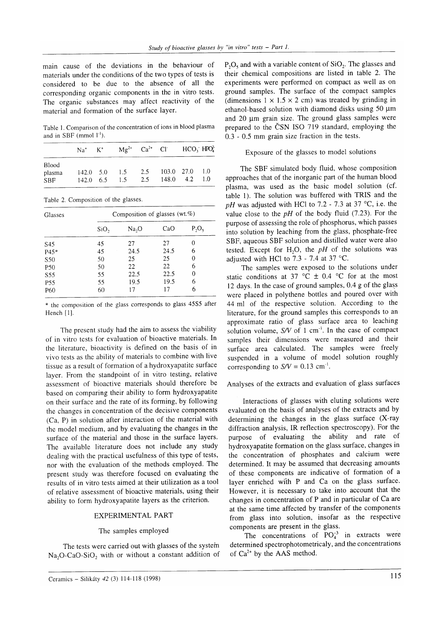main cause of the deviations in the behaviour of materials under the conditions of the two types of tests is considered to be due to the absence of all the corresponding organic components in the in vitro tests. The organic substances may affect reactivity of the material and formation of the surface layer.

Table 1. Comparison of the concentration of ions in blood plasma and in SBF (mmol  $l^{-1}$ ).

|                                      | $Na^+$ $K^+$                          | $Mg^{2+}$ Ca <sup>2+</sup> Cl HCO <sub>3</sub> HPO <sub>4</sub> <sup>2</sup> |            |            |                 |            |
|--------------------------------------|---------------------------------------|------------------------------------------------------------------------------|------------|------------|-----------------|------------|
| <b>Blood</b><br>plasma<br><b>SBF</b> | $142.0 \quad 5.0$<br>$142.0\quad 6.5$ | $\frac{1.5}{2}$<br>15                                                        | 2.5<br>2.5 | 103.0 27.0 | $148.0$ 4.2 1.0 | $\sim$ 1.0 |

Table 2. Composition of the glasses.

| Glasses         | Composition of glasses (wt. $%$ ) |       |      |          |  |  |
|-----------------|-----------------------------------|-------|------|----------|--|--|
|                 | SiO,                              | Na, O | CaO  | $P_2O_5$ |  |  |
| S45             | 45                                | 27    | 27   | 0        |  |  |
| $P45*$          | 45                                | 24.5  | 24.5 | 6        |  |  |
| S50             | 50                                | 25    | 25   |          |  |  |
| <b>P50</b>      | 50                                | 22    | 22   | 6        |  |  |
| S55             | 55                                | 22.5  | 22.5 | 0        |  |  |
| P <sub>55</sub> | 55                                | 19.5  | 19.5 | 6        |  |  |
| P <sub>60</sub> | 60                                | 17    | 17   | 6        |  |  |

\* the composition of the glass corresponds to glass 4555 after Hench [1].

The present study had the aim to assess the viability of in vitro tests for evaluation of bioactive materials. In the literature, bioactivity is defined on the basis of in vivo tests as the ability of materials to combine with live tissue as a result of formation of a hydroxyapatite surface layer. From the standpoint of in vitro testing, relative assessment of bioactive materials should therefore be based on comparing their ability to form hydroxyapatite on their surface and the rate of its forming, by following the changes in concentration of the decisive components (Ca, P) in solution after interaction of the material with the model medium, and by evaluating the changes in the surface of the material and those in the surface layers. The available literature does not include any study dealing with the practical usefulness of this type of tests, nor with the evaluation of the methods employed. The present study was therefore focused on evaluating the results of in vitro tests aimed at their utilization as a tool of relative assessment of bioactive materials, using their ability to form hydroxyapatite layers as the criterion.

#### EXPERIMENTAL PART

#### The samples employed

The tests were carried out with glasses of the system  $Na<sub>2</sub>O-CaO-SiO<sub>2</sub>$  with or without a constant addition of

 $P_2O_5$  and with a variable content of  $SiO_2$ . The glasses and their chemical compositions are listed in table 2. The experiments were performed on compact as well as on ground samples. The surface of the compact samples (dimensions  $1 \times 1.5 \times 2$  cm) was treated by grinding in ethanol-based solution with diamond disks using 50 um and 20  $\mu$ m grain size. The ground glass samples were prepared to the ČSN ISO 719 standard, employing the 0.3 - 0.5 mm grain size fraction in the tests.

## Exposure of the glasses to model solutions

The SBF simulated body fluid, whose composition approaches that of the inorganic part of the human blood plasma, was used as the basic model solution (cf. table 1). The solution was buffered with TRIS and the pH was adjusted with HCl to 7.2 - 7.3 at 37 °C, i.e. the value close to the  $pH$  of the body fluid (7.23). For the purpose of assessing the role of phosphorus, which passes into solution by leaching from the glass, phosphate-free SBF, aqueous SBF solution and distilled water were also tested. Except for H<sub>2</sub>O, the  $pH$  of the solutions was adjusted with HCl to  $7.3$  -  $7.4$  at 37 °C.

The samples were exposed to the solutions under static conditions at 37 °C  $\pm$  0.4 °C for at the most l2 days. In the case of ground samples, 0.4 g of the glass were placed in polythene bottles and poured over with <sup>44</sup>ml of the respective solution. According to the literature, for the ground samples this corresponds to an approximate ratio of glass surface area to leaching solution volume,  $S/V$  of 1 cm<sup>-1</sup>. In the case of compact samples their dimensions were measured and their surface area calculated. The samples were freely suspended in a volume of model solution roughly corresponding to  $S/V = 0.13$  cm<sup>-1</sup>.

# Analyses of the extracts and evaluation of glass surfaces

Interactions of glasses with eluting solutions were evaluated on the basis of analyses of the extracts and by determining the changes in the glass surface (X-ray diffraction analysis, IR reflection spectroscopy). For the purpose of evaluating the ability and rate of hydroxyapatite formation on the glass surface, changes in the concentration of phosphates and calcium were determined. It may be assumed that decreasing amounts of these components are indicative of formation of <sup>a</sup> layer enriched with P and Ca on the glass surface. However, it is necessary to take into account that the changes in concentration of P and in particular of Ca are at the same time affected by transfer of the components from glass into solution, insofar as the respective components are present in the glass.

The concentrations of  $PO_4^{-3}$  in extracts were determined spectrophotometricaly, and the concentrations of  $Ca^{2+}$  by the AAS method.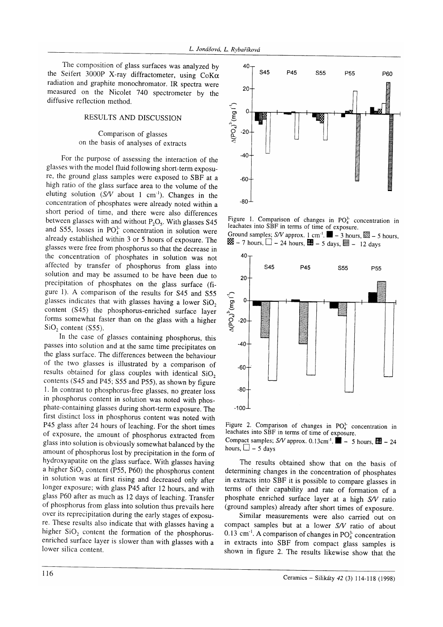The composition of glass surfaces was analyzed by the Seifert 3000P X-ray diffractometer, using  $CoK\alpha$ radiation and graphite monochromator. IR spectra were measured on the Nicolet 740 spectrometer by the diffusive reflection method.

## RESULTS AND DISCUSSION

## Comparison of glasses on the basis of analyses of extracts

For the purpose of assessing the interaction of the glasses with the model fluid following short-term exposu\_ re, the ground glass samples were exposed to SBF at <sup>a</sup> high ratio of the glass surface area to the volume of the eluting solution  $(S/V)$  about 1 cm<sup>-1</sup>). Changes in the concentration of phosphates were already noted within <sup>a</sup> short period of time, and there were also differences between glasses with and without  $P_2O_5$ . With glasses S45 and S55, losses in  $PO<sub>4</sub><sup>3</sup>$  concentration in solution were already established within 3 or 5 hours of exposure. The glasses were free from phosphorus so that the decrease in the concentration of phosphates in solution was not affected by transfer of phosphorus from glass into solution and may be assumed to be have been due to precipitation of phosphates on the glass surface (figure l). A comparison of the results for S45 and S55 glasses indicates that with glasses having a lower  $SiO<sub>2</sub>$ content (S45) the phosphorus-enriched surface layer forms somewhat faster than on the glass with a higher  $SiO<sub>2</sub>$  content (S55).

In the case of glasses containing phosphorus, this passes into solution and at the same time precipitates on the glass surface. The differences between the behaviour of the two glasses is illustrated by a comparison of results obtained for glass couples with identical  $SiO<sub>2</sub>$ contents (S45 and P45; S55 and P55), as shown by figure l. In contrast to phosphorus-free glasses, no greater loss in phosphorus content in solution was noted with phos\_ phate-containing glasses during short-term exposure. The first distinct loss in phosphorus content was noted with P45 glass after 24 hours of leaching. For the short times of exposure, the amount of phosphorus extracted from glass into solution is obviously somewhat balanced by the amount of phosphorus lost by precipitation in the form of hydroxyapatite on the glass surface. With glasses having a higher  $SiO<sub>2</sub>$  content (P55, P60) the phosphorus content in solution was at first rising and decreased only after longer exposure; with glass p45 after l2 hours, and with glass P60 after as much as 12 days of leaching. Transfer of phosphorus from glass into solution thus prevails here over its reprecipitation during the early stages of exposure. These results also indicate that with glasses having a higher  $SiO<sub>2</sub>$  content the formation of the phosphorusenriched surface layer is slower than with glasses with <sup>a</sup> lower silica content.



Figure 1. Comparison of changes in  $PO<sub>4</sub><sup>3</sup>$  concentration in leachates into SBF in terms of time of exposure. Ground samples; S/V approx. 1 cm<sup>-1</sup>.  $\blacksquare$  - 3 hours,  $\mathbb{S}$  - 5 hours,



Figure 2. Comparison of changes in  $PO<sub>4</sub><sup>3</sup>$  concentration in leachates into SBF in terms of time of exposure. Compact samples; S/V approx. 0.13cm<sup>-1</sup>.  $\blacksquare$  - 5 hours,  $\blacksquare$  - 24 hours,  $\Box$  – 5 days

The results obtained show that on the basis of determining changes in the concentration of phosphates in extracts into SBF it is possible to compare glasses in terms of their capability and rate of formation of <sup>a</sup> phosphate enriched surface layer at a high S/V ratio (ground samples) already after short times of exposure.

Similar measurements were also carried out on compact samples but at a lower S/V ratio of about 0.13 cm<sup>-1</sup>. A comparison of changes in  $PO_4^3$  concentration in extracts into SBF from compact glass samples is shown in figure 2. The results likewise show that the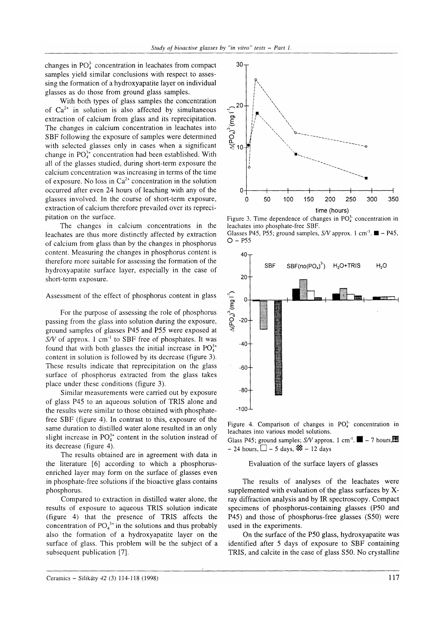changes in  $PO<sub>4</sub><sup>3</sup>$  concentration in leachates from compact samples yield similar conclusions with respect to assessing the formation of a hydroxyapatite layer on individual glasses as do those from ground glass samples.

With both types of glass samples the concentration of  $Ca^{2+}$  in solution is also affected by simultaneous extraction of calcium from glass and its reprecipitation. The changes in calcium concentration in leachates into SBF following the exposure of samples were determined with selected glasses only in cases when a significant change in  $PO<sub>4</sub><sup>3+</sup>$  concentration had been established. With all of the glasses studied, during short-term exposure the calcium concentration was increasing in terms of the time of exposure. No loss in  $Ca^{2+}$  concentration in the solution occurred after even 24 hours of leaching with any of the glasses involved. In the course of short-term exposure, extraction of calcium therefore prevailed over its reprecipitation on the surface.

The changes in calcium concentrations in the leachates are thus more distinctly affected by extraction of calcium from glass than by the changes in phosphorus content. Measuring the changes in phosphorus content is therefore more suitable for assessing the formation of the hydroxyapatite surface layer, especially in the case of short-term exposure.

Assessment of the effect of phosphorus content in glass

For the purpose of assessing the role of phosphorus passing from the glass into solution during the exposure, ground samples of glasses P45 and P55 were exposed at  $S/V$  of approx. 1 cm<sup>-1</sup> to SBF free of phosphates. It was found that with both glasses the initial increase in  $PO<sub>4</sub><sup>3+</sup>$ content in solution is followed by its decrease (figure 3). These results indicate that reprecipitation on the glass surface of phosphorus extracted from the glass takes place under these conditions (figure 3).

Similar measurements were carried out by exposure of glass P45 to an aqueous solution of TRIS alone and the results were similar to those obtained with phosphatefree SBF (figure 4). In contrast to this, exposure of the same duration to distilled water alone resulted in an only slight increase in  $PO_4^{3+}$  content in the solution instead of its decrease (figure 4).

The results obtained are in agreement with data in the literature [6] according to which a phosphorusenriched layer may form on the surface of glasses even in phosphate-free solutions if the bioactive glass contains phosphorus.

Compared to extraction in distilled water alone, the results of exposure to aqueous TRIS solution indicate (figure 4) that the presence of TRIS affects the concentration of  $PO<sub>4</sub><sup>3+</sup>$  in the solutions and thus probably also the formation of a hydroxyapatite layer on the surface of glass. This problem will be the subject of a subsequent publication [7].



Figure 3. Time dependence of changes in  $PO<sub>4</sub><sup>3</sup>$  concentration in leachates into phosphate-free SBF.





Figure 4. Comparison of changes in  $PO<sub>4</sub><sup>3</sup>$  concentration in leachates into various model solutions.

Glass P45; ground samples; S/V approx. 1 cm<sup>-1</sup>.  $\blacksquare$  – 7 hours,  $- 24$  hours,  $\Box$  - 5 days,  $\mathcal{R}$  - 12 days

## Evaluation of the surface layers of glasses

The results of analyses of the leachates were supplemented with evaluation of the glass surfaces by Xray diffraction analysis and by IR spectroscopy. Compact specimens of phosphorus-containing glasses (P50 and P45) and those of phosphorus-free glasses (S50) were used in the experiments.

On the surface of the P50 glass, hydroxyapatite was identified after 5 days of exposure to SBF containing TRIS, and calcite in the case of glass S50. No crystalline